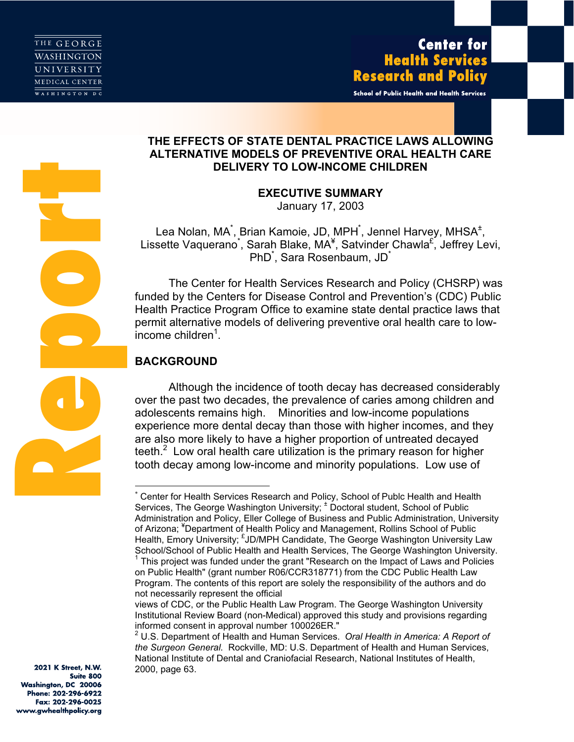**Report** 

School of Public Health and Health Services

# THE EFFECTS OF STATE DENTAL PRACTICE LAWS ALLOWING ALTERNATIVE MODELS OF PREVENTIVE ORAL HEALTH CARE DELIVERY TO LOW-INCOME CHILDREN

EXECUTIVE SUMMARY

January 17, 2003

Lea Nolan, MA<sup>\*</sup>, Brian Kamoie, JD, MPH<sup>\*</sup>, Jennel Harvey, MHSA<sup>±</sup>, Lissette Vaquerano<sup>\*</sup>, Sarah Blake, MA<sup>¥</sup>, Satvinder Chawla<sup>£`</sup>, Jeffrey Levi, PhD<sup>\*</sup>, Sara Rosenbaum, JD<sup>\*</sup>

The Center for Health Services Research and Policy (CHSRP) was funded by the Centers for Disease Control and Prevention's (CDC) Public Health Practice Program Office to examine state dental practice laws that permit alternative models of delivering preventive oral health care to low $income$  children<sup>1</sup>.

# BACKGROUND

 $\overline{a}$ 

Although the incidence of tooth decay has decreased considerably over the past two decades, the prevalence of caries among children and adolescents remains high. Minorities and low-income populations experience more dental decay than those with higher incomes, and they are also more likely to have a higher proportion of untreated decayed teeth.<sup>2</sup> Low oral health care utilization is the primary reason for higher tooth decay among low-income and minority populations. Low use of

2021 K Street, N.W. Suite 800 Washington, DC 20006 Phone: 202-296-6922 Fax: 202-296-0025 www.gwhealthpolicy.org

Center for Health Services Research and Policy, School of Publc Health and Health Services, The George Washington University;  $\pm$  Doctoral student, School of Public Administration and Policy, Eller College of Business and Public Administration, University of Arizona; <sup>¥</sup>Department of Health Policy and Management, Rollins School of Public Health, Emory University; EJD/MPH Candidate, The George Washington University Law School/School of Public Health and Health Services, The George Washington University. 1

This project was funded under the grant "Research on the Impact of Laws and Policies on Public Health" (grant number R06/CCR318771) from the CDC Public Health Law Program. The contents of this report are solely the responsibility of the authors and do not necessarily represent the official

views of CDC, or the Public Health Law Program. The George Washington University Institutional Review Board (non-Medical) approved this study and provisions regarding informed consent in approval number 100026ER."

 $^2$  U.S. Department of Health and Human Services. *Oral Health in America: A Report of*<br>the *Surgeon General*, Rockville, MD: U.S. Department of Health and Human Services the Surgeon General. Rockville, MD: U.S. Department of Health and Human Services, National Institute of Dental and Craniofacial Research, National Institutes of Health, 2000, page 63.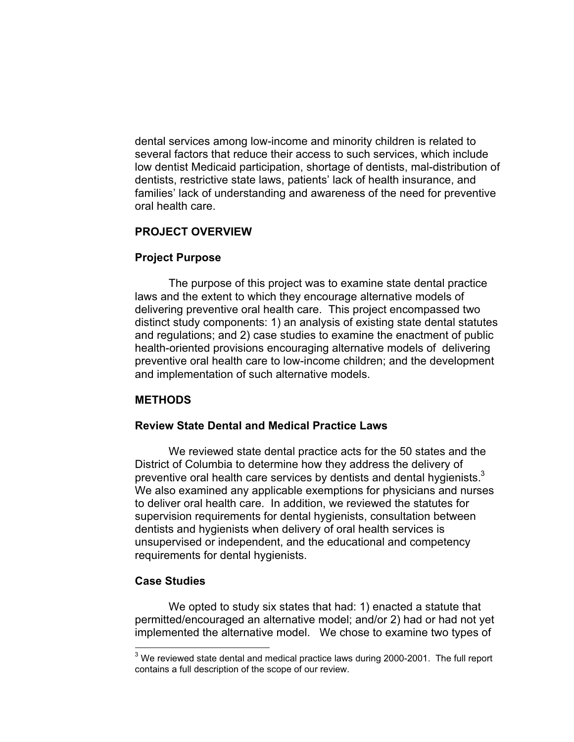dental services among low-income and minority children is related to several factors that reduce their access to such services, which include low dentist Medicaid participation, shortage of dentists, mal-distribution of dentists, restrictive state laws, patients' lack of health insurance, and families' lack of understanding and awareness of the need for preventive oral health care.

# PROJECT OVERVIEW

# Project Purpose

The purpose of this project was to examine state dental practice laws and the extent to which they encourage alternative models of delivering preventive oral health care. This project encompassed two distinct study components: 1) an analysis of existing state dental statutes and regulations; and 2) case studies to examine the enactment of public health-oriented provisions encouraging alternative models of delivering preventive oral health care to low-income children; and the development and implementation of such alternative models.

## METHODS

## Review State Dental and Medical Practice Laws

We reviewed state dental practice acts for the 50 states and the District of Columbia to determine how they address the delivery of preventive oral health care services by dentists and dental hygienists. $3$ We also examined any applicable exemptions for physicians and nurses to deliver oral health care. In addition, we reviewed the statutes for supervision requirements for dental hygienists, consultation between dentists and hygienists when delivery of oral health services is unsupervised or independent, and the educational and competency requirements for dental hygienists.

## Case Studies

 $\overline{a}$ 

We opted to study six states that had: 1) enacted a statute that permitted/encouraged an alternative model; and/or 2) had or had not yet implemented the alternative model. We chose to examine two types of

 $^3$  We reviewed state dental and medical practice laws during 2000-2001. The full report contains a full description of the scope of our review.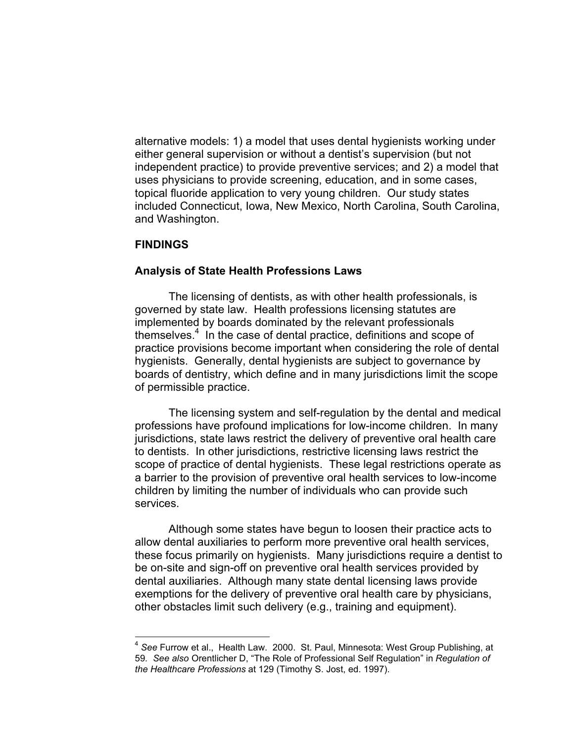alternative models: 1) a model that uses dental hygienists working under either general supervision or without a dentist's supervision (but not independent practice) to provide preventive services; and 2) a model that uses physicians to provide screening, education, and in some cases, topical fluoride application to very young children. Our study states included Connecticut, Iowa, New Mexico, North Carolina, South Carolina, and Washington.

### **FINDINGS**

 $\overline{a}$ 

#### Analysis of State Health Professions Laws

The licensing of dentists, as with other health professionals, is governed by state law. Health professions licensing statutes are implemented by boards dominated by the relevant professionals themselves.<sup>4</sup> In the case of dental practice, definitions and scope of practice provisions become important when considering the role of dental hygienists. Generally, dental hygienists are subject to governance by boards of dentistry, which define and in many jurisdictions limit the scope of permissible practice.

The licensing system and self-regulation by the dental and medical professions have profound implications for low-income children. In many jurisdictions, state laws restrict the delivery of preventive oral health care to dentists. In other jurisdictions, restrictive licensing laws restrict the scope of practice of dental hygienists. These legal restrictions operate as a barrier to the provision of preventive oral health services to low-income children by limiting the number of individuals who can provide such services.

Although some states have begun to loosen their practice acts to allow dental auxiliaries to perform more preventive oral health services, these focus primarily on hygienists. Many jurisdictions require a dentist to be on-site and sign-off on preventive oral health services provided by dental auxiliaries. Although many state dental licensing laws provide exemptions for the delivery of preventive oral health care by physicians, other obstacles limit such delivery (e.g., training and equipment).

 $^4$  See Furrow et al., Health Law. 2000. St. Paul, Minnesota: West Group Publishing, at<br>59 *See also* Orentlicher D. "The Role of Professional Self Requlation" in *Requlation of* 59. See also Orentlicher D, "The Role of Professional Self Regulation" in Regulation of the Healthcare Professions at 129 (Timothy S. Jost, ed. 1997).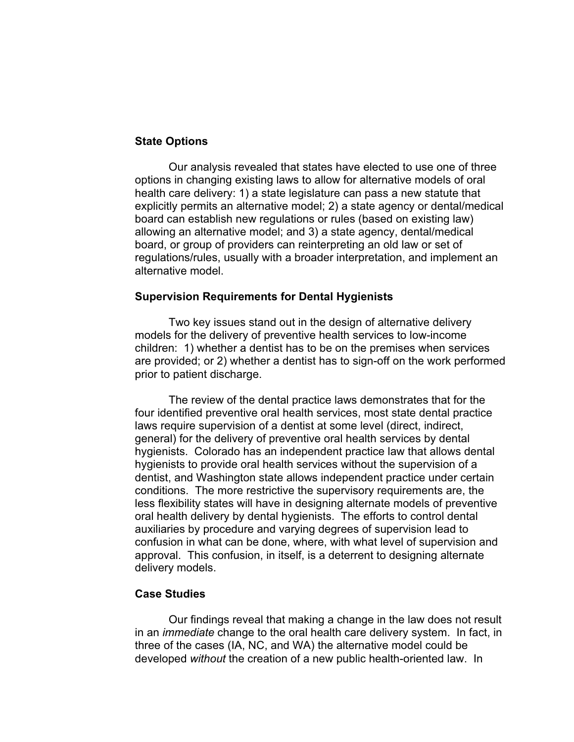## State Options

Our analysis revealed that states have elected to use one of three options in changing existing laws to allow for alternative models of oral health care delivery: 1) a state legislature can pass a new statute that explicitly permits an alternative model; 2) a state agency or dental/medical board can establish new regulations or rules (based on existing law) allowing an alternative model; and 3) a state agency, dental/medical board, or group of providers can reinterpreting an old law or set of regulations/rules, usually with a broader interpretation, and implement an alternative model.

#### Supervision Requirements for Dental Hygienists

Two key issues stand out in the design of alternative delivery models for the delivery of preventive health services to low-income children: 1) whether a dentist has to be on the premises when services are provided; or 2) whether a dentist has to sign-off on the work performed prior to patient discharge.

The review of the dental practice laws demonstrates that for the four identified preventive oral health services, most state dental practice laws require supervision of a dentist at some level (direct, indirect, general) for the delivery of preventive oral health services by dental hygienists. Colorado has an independent practice law that allows dental hygienists to provide oral health services without the supervision of a dentist, and Washington state allows independent practice under certain conditions. The more restrictive the supervisory requirements are, the less flexibility states will have in designing alternate models of preventive oral health delivery by dental hygienists. The efforts to control dental auxiliaries by procedure and varying degrees of supervision lead to confusion in what can be done, where, with what level of supervision and approval. This confusion, in itself, is a deterrent to designing alternate delivery models.

## Case Studies

Our findings reveal that making a change in the law does not result in an *immediate* change to the oral health care delivery system. In fact, in three of the cases (IA, NC, and WA) the alternative model could be developed without the creation of a new public health-oriented law. In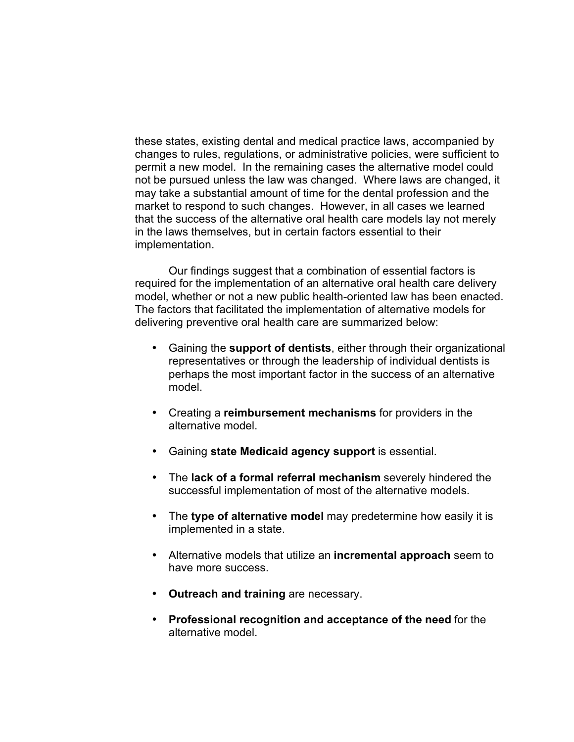these states, existing dental and medical practice laws, accompanied by changes to rules, regulations, or administrative policies, were sufficient to permit a new model. In the remaining cases the alternative model could not be pursued unless the law was changed. Where laws are changed, it may take a substantial amount of time for the dental profession and the market to respond to such changes. However, in all cases we learned that the success of the alternative oral health care models lay not merely in the laws themselves, but in certain factors essential to their implementation.

Our findings suggest that a combination of essential factors is required for the implementation of an alternative oral health care delivery model, whether or not a new public health-oriented law has been enacted. The factors that facilitated the implementation of alternative models for delivering preventive oral health care are summarized below:

- Gaining the support of dentists, either through their organizational representatives or through the leadership of individual dentists is perhaps the most important factor in the success of an alternative model.
- Creating a reimbursement mechanisms for providers in the alternative model.
- Gaining state Medicaid agency support is essential.
- The lack of a formal referral mechanism severely hindered the successful implementation of most of the alternative models.
- The type of alternative model may predetermine how easily it is implemented in a state.
- Alternative models that utilize an **incremental approach** seem to have more success.
- Outreach and training are necessary.
- Professional recognition and acceptance of the need for the alternative model.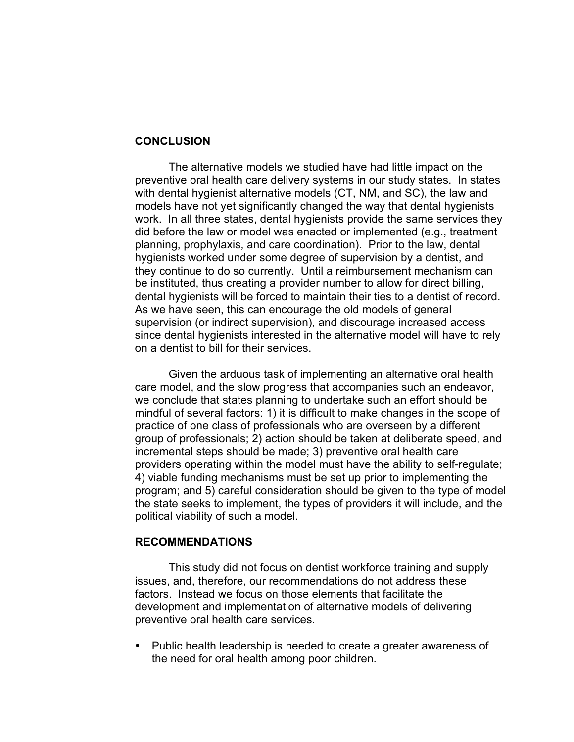### **CONCLUSION**

The alternative models we studied have had little impact on the preventive oral health care delivery systems in our study states. In states with dental hygienist alternative models (CT, NM, and SC), the law and models have not yet significantly changed the way that dental hygienists work. In all three states, dental hygienists provide the same services they did before the law or model was enacted or implemented (e.g., treatment planning, prophylaxis, and care coordination). Prior to the law, dental hygienists worked under some degree of supervision by a dentist, and they continue to do so currently. Until a reimbursement mechanism can be instituted, thus creating a provider number to allow for direct billing, dental hygienists will be forced to maintain their ties to a dentist of record. As we have seen, this can encourage the old models of general supervision (or indirect supervision), and discourage increased access since dental hygienists interested in the alternative model will have to rely on a dentist to bill for their services.

Given the arduous task of implementing an alternative oral health care model, and the slow progress that accompanies such an endeavor, we conclude that states planning to undertake such an effort should be mindful of several factors: 1) it is difficult to make changes in the scope of practice of one class of professionals who are overseen by a different group of professionals; 2) action should be taken at deliberate speed, and incremental steps should be made; 3) preventive oral health care providers operating within the model must have the ability to self-regulate; 4) viable funding mechanisms must be set up prior to implementing the program; and 5) careful consideration should be given to the type of model the state seeks to implement, the types of providers it will include, and the political viability of such a model.

#### RECOMMENDATIONS

This study did not focus on dentist workforce training and supply issues, and, therefore, our recommendations do not address these factors. Instead we focus on those elements that facilitate the development and implementation of alternative models of delivering preventive oral health care services.

*•* Public health leadership is needed to create a greater awareness of the need for oral health among poor children.